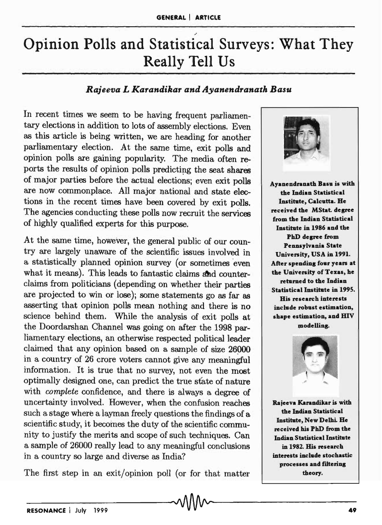## Opinion Polls and Statistical Surveys: What They Really Tell Us

## *Rajeeva L Karandikar and Ayanendranath Basil*

In recent times we seem to be having frequent parliamentary elections in addition to lots of assembly elections. Even as this article is being written, we are heading for another parliamentary election. At the same time, exit polls and opinion polls are gaining popularity. The media often reports the results of opinion polls predicting the seat shares of major parties before the actual elections; even exit polls are now commonplace. All major national and state elections in the recent times have been covered by exit polls. The agencies conducting these polls now recruit the services of highly qualified experts for this purpose.

At the same time, however, the general public of our country are largely unaware of the scientific issues involved in a statistically planned opinion survey (or sometimes even what it means). This leads to fantastic claims and counterclaims from politicians (depending on whether their parties are projected to win or lose); some statements go as far as asserting that opinion polls mean nothing and there is no science behind them. While the analysis of exit polls at the Doordarshan Channel was going on after the 1998 parliamentary elections, an otherwise respected political leader claimed that any opinion based on a sample of size 26900 in a country of 26 crore voters cannot give any meaningful information. It is true that no survey, not even the most optimally designed one, can predict the true state of nature with *complete* confidence, and there is always a degree of uncertainty involved. However, when the confusion reaches such a stage where a layman freely questions the findings of a scientific study, it becomes the duty of the scientific community to.justify the merits and scope of such techniques. Can a sample of 26000 really lead to any meaningful conclusions in a country so large and diverse as India?

The first step in an exit/opinion poll (or for that matter





Rajeeva Karandikar is with the Indian Statistical Institute, New Delhi. He received his PhD from the Indian Statistical Institute in 1982. His research interests include stochastic processes and filtering theory.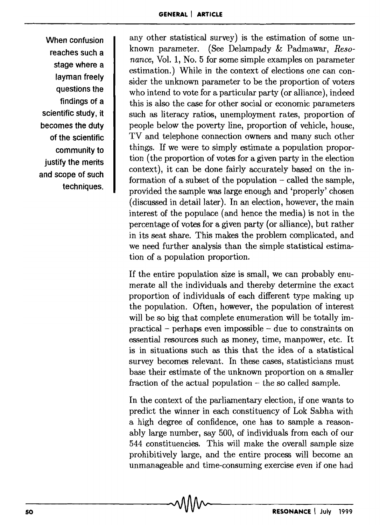When confusion reaches such a stage where a layman freely questions the findings of a scientific study, it becomes the duty of the scientific community to justify the merits and scope of such techniques.

any other statistical survey) is the estimation of some unknown parameter. (See Delampady & Padmawar, *Resonance,* Vol. 1, No.5 for some simple examples on parameter estimation.) While in the context of elections one can consider the unknown parameter to be the proportion of voters who intend to vote for a particular party (or alliance), indeed this is also the case for other social or economic parameters such as literacy ratios, unemployment rates, proportion of people below the poverty line, proportion of vehicle, house, TV and telephone connection owners and many such other things. If we were to simply estimate a population proportion (the proportion of votes for a given party in the election context), it can be done fairly accurately based on the information of a subset of the population – called the sample. provided the sample was large enough and 'properly' chosen (discussed in detail later). In an election, however, the main interest of the populace (and hence the media) is not in the percentage of votes for a given party (or alliance), but rather in its seat share. This makes the problem complicated, and we need further analysis than the simple statistical estimation of a population proportion.

If the entire population size is small, we can probably enumerate all the individuals and thereby determine the exact proportion of individuals of each different type making up the population. Often, however, the population of interest will be so big that complete enumeration will be totally impractical - perhaps even impossible - due to constraints on essential resources such as money, time, manpower, etc. It is in situations such as this that the idea of a statistical survey becomes relevant. In these cases, statisticians must base their estimate of the unknown proportion on a smaller fraction of the actual population - the so called sample.

In the context of the parliamentary election, if one wants to predict the winner in each constituency of Lok Sabha with a high degree of confidence, one has to sample a reasonably large number, say 500, of individuals from each of our 544 constituencies. This will make the overall sample size prohibitively large, and the entire process will become an unmanageable and time-consuming exercise even if one had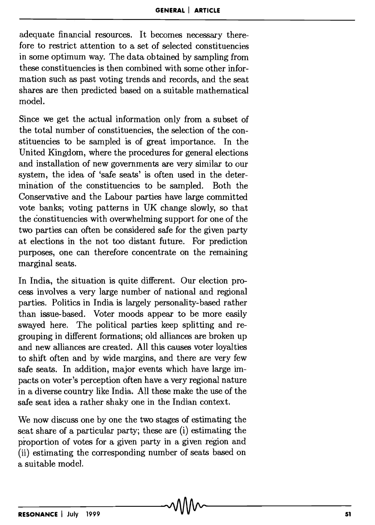adequate financial resources. It becomes necessary therefore to restrict attention to a set of selected constituencies in some optimum way. The data obtained by sampling from these constituencies is then combined with some other information such as past voting trends and records, and the seat shares are then predicted based on a suitable mathematical model.

Since we get the actual information only from a subset of the total number of constituencies, the selection of the constituencies to be sampled is of great importance. In the United Kingdom, where the procedures for general elections and installation of new governments are very similar to our system, the idea of 'safe seats' is often used in the determination of the constituencies to be sampled. Both the Conservative and the Labour parties have large committed vote banks; voting patterns in UK change slowly, so that the constituencies with overwhelming support for one of the two parties can often be considered safe for the given party at elections in the not too distant future. For prediction purposes, one can therefore concentrate on the remaining marginal seats.

In India, the situation is quite different. Our election process involves a very large number of national and regional parties. Politics in India is largely personality-based rather than issue-based. Voter moods appear to be more easily swayed here, The political parties keep splitting and regrouping in different fonnations; old alliances are broken up and new alliances are created. All this causes voter loyalties to shift often and by wide margins, and there are very few safe seats. In addition, major events which have large impacts on voter's perception often have a very regional nature in a diverse country like India. All these make the use of the safe seat idea a rather shaky one in the Indian context.

We now discuss one by one the two stages of estimating the seat share of a particular party; these are (i) estimating the proportion of votes for a given party in a given region and (ii) estimating the corresponding number of seats based on a suitable model.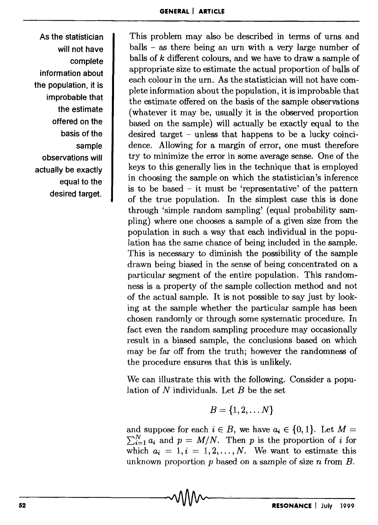As the statistician will not have complete information about the population, it is improbable that the estimate offered on the basis of the sample observations will actually be exactly equal to the desired target.

This problem may also be described in terms of urns and balls - as there being an urn with a very large number of balls of *k* different colours, and we have to draw a sample of appropriate size to estimate the actual proportion of balls of each colour in the urn. As the statistician will not have complete information about the population, it is improbable that the estimate offered on the basis of the sample observations (whatever it may be, usually it is the observed proportion based on the sample) will actually be exactly equal to the desired target  $-$  unless that happens to be a lucky coincidence. Allowing for a margin of error, one must therefore try to minimize the error in some average sense. One of the keys to this generally lies in the technique that is employed in choosing the sample on which the statistician's inference is to be based - it must be 'representative' of the pattern of the true population. In the simplest case this is done through 'simple random sampling' (equal probability sampling) where one chooses a sample of a given size from the population in such a way that each individual in the population has the same chance of being included in the sample. This is necessary to diminish the possibility of the sample drawn being biased in the sense of being concentrated on a particular segment of the entire population. This randomness is a property of the sample collection method and not of the actual sample. It is not possible to say just by looking at the sample whether the particular sample has been chosen randomly or through some systematic procedure. In fact even the random sampling procedure may occasionally result in a biased sample, the conclusions based on which may be far off from the truth; however the randomness of the procedure ensures that this is unlikely.

We can illustrate this with the following. Consider a population of N individuals. Let  $B$  be the set

$$
B=\{1,2,\ldots N\}
$$

and suppose for each  $i \in B$ , we have  $a_i \in \{0, 1\}$ . Let  $M =$  $\sum_{i=1}^{N} a_i$  and  $p = M/N$ . Then p is the proportion of i for which  $a_i = 1, i = 1, 2, ..., N$ . We want to estimate this unknown proportion p based on a sample of size *n* from *B.*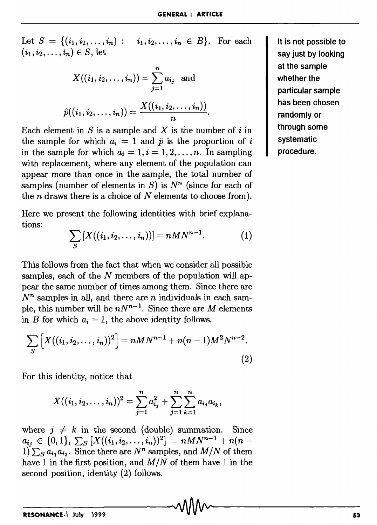Let  $S = \{(i_1, i_2, \ldots, i_n) : i_1, i_2, \ldots, i_n \in B\}$ . For each  $(i_1, i_2, \ldots, i_n) \in S$ , let

$$
X((i_1, i_2, \ldots, i_n)) = \sum_{j=1}^n a_{i_j} \text{ and}
$$
  

$$
\hat{p}((i_1, i_2, \ldots, i_n)) = \frac{X((i_1, i_2, \ldots, i_n))}{n}.
$$

Each element in  $S$  is a sample and  $X$  is the number of i in the sample for which  $a_i = 1$  and  $\hat{p}$  is the proportion of i in the sample for which  $a_i = 1, i = 1, 2, \ldots, n$ . In sampling with replacement, where any element of the population can appear more than once in the sample, the total number of samples (number of elements in  $S$ ) is  $N<sup>n</sup>$  (since for each of the *n* draws there is a choice of  $N$  elements to choose from).

Here we present the following identities with brief explanations:

$$
\sum_{S} [X((i_1, i_2, \dots, i_n))] = nMN^{n-1}.
$$
 (1)

This follows from the fact that when we consider all possible samples, each of the  $N$  members of the population will appear the same number of times among them. Since there are *Nn* samples in all, and there are *n* individuals in each sample, this number will be  $n^{n-1}$ . Since there are M elements in B for which  $a_i = 1$ , the above identity follows.

$$
\sum_{S} \left[ X((i_1, i_2, \dots, i_n))^2 \right] = nMN^{n-1} + n(n-1)M^2N^{n-2}.
$$
\n(2)

For this identity, notice that

$$
X((i_1,i_2,\ldots,i_n))^2=\sum_{j=1}^n a_{i_j}^2+\sum_{j=1}^n\sum_{k=1}^n a_{i_j}a_{i_k},
$$

where  $j \neq k$  in the second (double) summation. Since  $a_{i_j} \in \{0, 1\}, \sum_{S} [X((i_1, i_2, \ldots, i_n))^2] = nMN^{n-1} + n(n-1)$  $1) \sum_{S} a_{i_1} a_{i_2}$ . Since there are  $N^n$  samples, and  $M/N$  of them have 1 in the first position, and  $M/N$  of them have 1 in the second position, identity (2) follows.

It is not possible to say just by looking at the sample whether the particular sample has been chosen randomly or through some systematic procedure.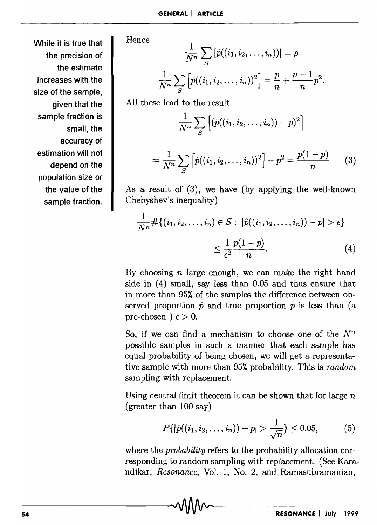While it is true that the precision of the estimate increases with the size of the sample, given that the sample fraction is small, the accuracy of estimation will not depend on the population size or the value of the sample fraction.

Hence

$$
\frac{1}{N^n} \sum_{S} \left[ \hat{p}((i_1, i_2, \dots, i_n)) \right] = p
$$
  

$$
\frac{1}{N^n} \sum_{S} \left[ \hat{p}((i_1, i_2, \dots, i_n))^2 \right] = \frac{p}{n} + \frac{n-1}{n} p^2.
$$

All these lead to the result

$$
\frac{1}{N^n} \sum_{S} \left[ (\hat{p}((i_1, i_2, \dots, i_n)) - p)^2 \right]
$$

$$
= \frac{1}{N^n} \sum_{S} \left[ \hat{p}((i_1, i_2, \dots, i_n))^2 \right] - p^2 = \frac{p(1-p)}{n} \qquad (3)
$$

As a result of (3), we have (by applying the well-known Chebyshev's inequality)

$$
\frac{1}{N^n} \# \{ (i_1, i_2, \dots, i_n) \in S : \ |\hat{p}((i_1, i_2, \dots, i_n)) - p| > \epsilon \}
$$
  

$$
\leq \frac{1}{\epsilon^2} \frac{p(1-p)}{n}.
$$
 (4)

By choosing *n* large enough, we can make the right hand side in (4) small, say less than 0.05 and thus ensure that in more than 95% of the samples the difference between observed proportion  $\hat{p}$  and true proportion p is less than (a pre-chosen  $\epsilon > 0$ .

So, if we can find a mechanism to choose one of the *Nn*  possible samples in such a manner that each sample has equal probability of being chosen, we will get a representative sample with more than 95% probability. This is *random*  sampling with replacement.

Using central limit theorem it can be shown that for large *n*  (greater than 100 say)

$$
P\{|\hat{p}((i_1, i_2, \ldots, i_n)) - p| > \frac{1}{\sqrt{n}}\} \le 0.05, \tag{5}
$$

where the *probability* refers to the probability allocation corresponding to random sampling with replacement. (See Karandikar, *Resonance,* Vol. 1, No.2, and Ramasubramanian,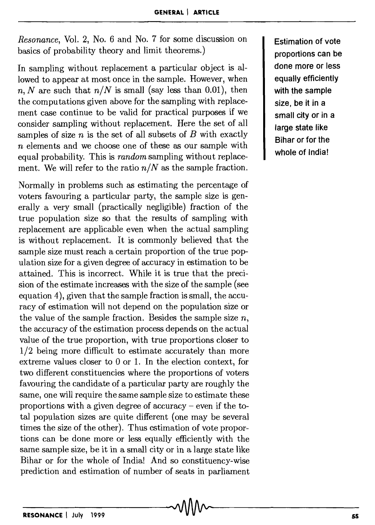*Resonance*, Vol. 2, No. 6 and No. 7 for some discussion on basics of probability theory and limit theorems.)

In sampling without replacement a particular object is allowed to appear at most once in the sample. However, when  $n, N$  are such that  $n/N$  is small (say less than 0.01), then the computations given above for the sampling with replacement case continue to be valid for practical purposes if we consider sampling without replacement. Here the set of all samples of size  $n$  is the set of all subsets of  $B$  with exactly *n* elements and we choose one of these as our sample with equal probability. This is *random* sampling without replacement. We will refer to the ratio  $n/N$  as the sample fraction.

Normally in problems such as estimating the percentage of voters favouring a particular party, the sample size is generally a very small (practically negligible) fraction of the true population size so that the results of sampling with replacement are applicable even when the actual sampling is without replacement. It is commonly believed that the sample size must reach a certain proportion of the true population size for a given degree of accuracy in estimation to be attained. This is incorrect. While it is true that the precision of the estimate increases with the size of the sample (see equation 4), given that the sample fraction is small, the accuracy of estimation will not depend on the population size or the value of the sample fraction. Besides the sample size *n,*  the accuracy of the estimation process depends on the actual value of the true proportion, with true proportions closer to 1/2 being more difficult to estimate accurately than more extreme values closer to  $0$  or 1. In the election context, for two different constituencies where the proportions of voters favouring the candidate of a particular party are roughly the same, one will require the same sample size to estimate these proportions with a given degree of accuracy  $-$  even if the total population sizes are quite different (one may be several times the size of the other). Thus estimation of vote proportions can be done more or less equally efficiently with the same sample size, be it in a small city or in a large state like Bihar or for the whole of India! And so constituency-wise prediction and estimation of number of seats in parliament Estimation of vote proportions can be done more or less equally efficiently with the sample size, be it in a small city or in a large state like Bihar or for the whole of India!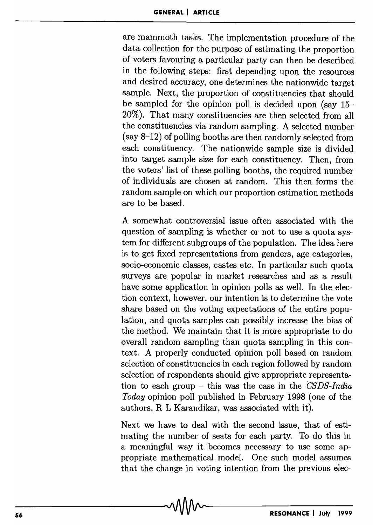are mammoth tasks. The implementation procedure of the data collection for the purpose of estimating the proportion of voters favouring a particular party can then be described in the following steps: first depending upon the resources and desired accuracy, one determines the nationwide target sample. Next, the proportion of constituencies that should be sampled for the opinion poll is decided upon (say 15- 20%). That many constituencies are then selected from all the constituencies via random sampling. A selected number (say 8-12) of polling booths are then randomly selected from each constituency. The nationwide sample size is divided into target sample size for each constituency. Then, from the voters' list of these polling booths, the required number of individuals are chosen at random. This then forms the random sample on which our proportion estimation methods are to be based.

A somewhat controversial issue often associated with the question of sampling is whether or not to use a quota system for different subgroups of the population. The idea here is to get fixed representations from genders, age categories, socio-economic classes, castes etc. In particular such quota surveys are popular in market researches and as a result have some application in opinion polls as well. In the election context, however, our intention is to determine the vote share based on the voting expectations of the entire population, and quota samples can possibly increase the bias of the method. We maintain that it is more appropriate to do overall random sampling than quota sampling in this context. A properly conducted opinion poll based on random selection of constituencies in each region followed by random selection of respondents should give appropriate representation to each group - this was the case in the *CSDS-India Today* opinion poll published in February 1998 (one of the authors, R L Karandikar, was associated with it).

Next we have to deal with the second issue, that of estimating the number of seats for each party. To do this in a meaningful way it becomes necessary to use some appropriate mathematical model. One such model assumes that the change in voting intention from the previous elec that the change in voting intention from the previous elec-<br>  $\bigcirc$ <br> **ESONANCE** | July 1999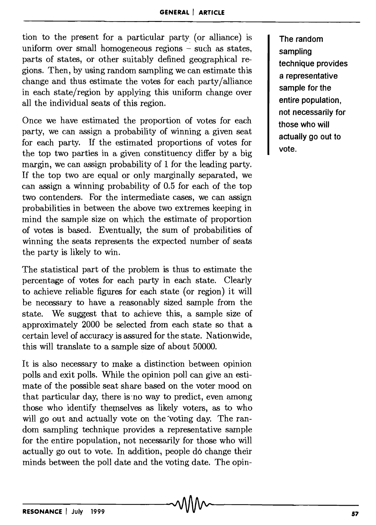tion to the present for a particular party (or alliance) is uniform over small homogeneous regions  $-$  such as states. parts of states, or other suitably defined geographical regions. Then, by using random sampling we can estimate this change and thus estimate the votes for each party/alliance in each state/region by applying this uniform change over all the individual seats of this region.

Once we have estimated the proportion of votes for each party, we can assign a probability of winning a given seat for each party. If the estimated proportions of votes for the top two parties in a given constituency differ by a big margin, we can assign probability of 1 for the leading party. If the top two are equal or only marginally separated, we can assign a winning probability of 0.5 for each of the top two contenders. For the intermediate cases, we can assign probabilities in between the above two extremes keeping in mind the sample size on which the estimate of proportion of votes is based. Eventually, the sum of probabilities of winning the seats represents the expected number of seats the party is likely to win.

The statistical part of the problem is thus to estimate the percentage of votes for each party in each state. Clearly to achieve reliable figures for each state (or region) it will be necessary to have a reasonably sized sample from the state. We suggest that to achieve this, a sample size of approximately 2900 be selected from each state so that a certain level of accuracy is assured for the state. Nationwide, this will translate to a sample size of about 50000.

It is also necessary to make a distinction between opinion polls and exit polls. While the opinion poll can give an estimate of the possible seat share based on the voter mood on that particular day, there is no way to predict, even among those who identify themselves as likely voters, as to who will go out and actually vote on the voting day. The random sampling technique provides a representative sample for the entire population, not necessarily for those who will actually go out to vote. In addition, people do change their minds between the poll date and the voting date. The opin-

**The random sampling technique provides a representative sample for the entire population, not necessarily for those who will actually go out to vote.**